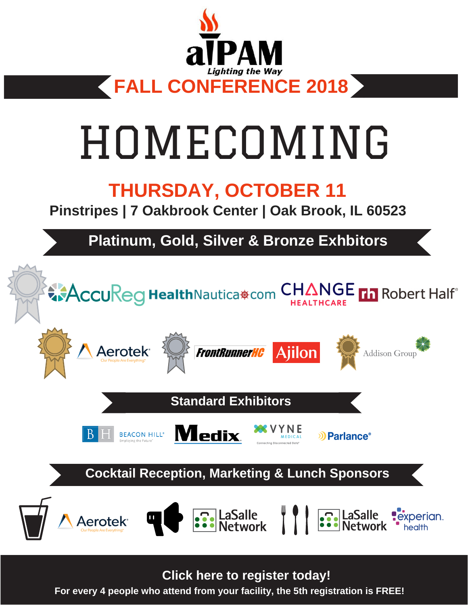

# HOMECOMING

## **THURSDAY, OCTOBER 11**

**Pinstripes | 7 Oakbrook Center | Oak Brook, IL 60523**

**Platinum, Gold, Silver & Bronze Exhbitors**



For every 4 people who attend from your facility, the 5th registration is FREE! **Click here to [register](https://www.aipam2.net/fall-conference-registration) today!**

**For every 4 people who attend from your facility, the 5th registration is FREE!**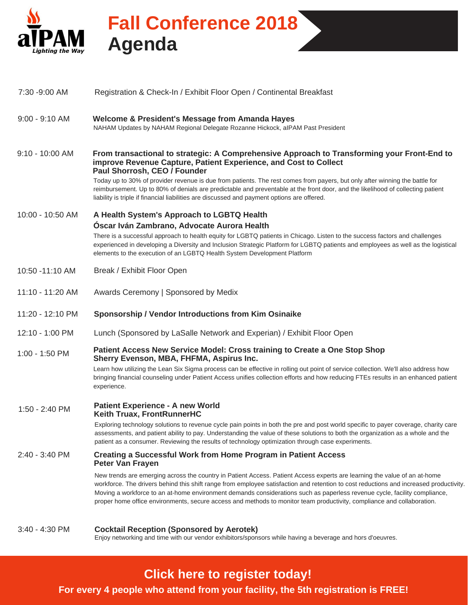

## **Fall Conference 2018 Agenda**

| 7:30 -9:00 AM     | Registration & Check-In / Exhibit Floor Open / Continental Breakfast                                                                                                                                                                                                                                                                                                                                                                                                                                                       |  |
|-------------------|----------------------------------------------------------------------------------------------------------------------------------------------------------------------------------------------------------------------------------------------------------------------------------------------------------------------------------------------------------------------------------------------------------------------------------------------------------------------------------------------------------------------------|--|
| $9:00 - 9:10$ AM  | <b>Welcome &amp; President's Message from Amanda Hayes</b><br>NAHAM Updates by NAHAM Regional Delegate Rozanne Hickock, alPAM Past President                                                                                                                                                                                                                                                                                                                                                                               |  |
| $9:10 - 10:00$ AM | From transactional to strategic: A Comprehensive Approach to Transforming your Front-End to<br>improve Revenue Capture, Patient Experience, and Cost to Collect<br>Paul Shorrosh, CEO / Founder                                                                                                                                                                                                                                                                                                                            |  |
|                   | Today up to 30% of provider revenue is due from patients. The rest comes from payers, but only after winning the battle for<br>reimbursement. Up to 80% of denials are predictable and preventable at the front door, and the likelihood of collecting patient<br>liability is triple if financial liabilities are discussed and payment options are offered.                                                                                                                                                              |  |
| 10:00 - 10:50 AM  | A Health System's Approach to LGBTQ Health                                                                                                                                                                                                                                                                                                                                                                                                                                                                                 |  |
|                   | Óscar Iván Zambrano, Advocate Aurora Health<br>There is a successful approach to health equity for LGBTQ patients in Chicago. Listen to the success factors and challenges<br>experienced in developing a Diversity and Inclusion Strategic Platform for LGBTQ patients and employees as well as the logistical<br>elements to the execution of an LGBTQ Health System Development Platform                                                                                                                                |  |
| 10:50 -11:10 AM   | Break / Exhibit Floor Open                                                                                                                                                                                                                                                                                                                                                                                                                                                                                                 |  |
| 11:10 - 11:20 AM  | Awards Ceremony   Sponsored by Medix                                                                                                                                                                                                                                                                                                                                                                                                                                                                                       |  |
| 11:20 - 12:10 PM  | Sponsorship / Vendor Introductions from Kim Osinaike                                                                                                                                                                                                                                                                                                                                                                                                                                                                       |  |
| 12:10 - 1:00 PM   | Lunch (Sponsored by LaSalle Network and Experian) / Exhibit Floor Open                                                                                                                                                                                                                                                                                                                                                                                                                                                     |  |
| 1:00 - 1:50 PM    | Patient Access New Service Model: Cross training to Create a One Stop Shop<br>Sherry Evenson, MBA, FHFMA, Aspirus Inc.                                                                                                                                                                                                                                                                                                                                                                                                     |  |
|                   | Learn how utilizing the Lean Six Sigma process can be effective in rolling out point of service collection. We'll also address how<br>bringing financial counseling under Patient Access unifies collection efforts and how reducing FTEs results in an enhanced patient<br>experience.                                                                                                                                                                                                                                    |  |
| 1:50 - 2:40 PM    | <b>Patient Experience - A new World</b><br><b>Keith Truax, FrontRunnerHC</b>                                                                                                                                                                                                                                                                                                                                                                                                                                               |  |
|                   | Exploring technology solutions to revenue cycle pain points in both the pre and post world specific to payer coverage, charity care<br>assessments, and patient ability to pay. Understanding the value of these solutions to both the organization as a whole and the<br>patient as a consumer. Reviewing the results of technology optimization through case experiments.                                                                                                                                                |  |
| 2:40 - 3:40 PM    | Creating a Successful Work from Home Program in Patient Access<br><b>Peter Van Frayen</b>                                                                                                                                                                                                                                                                                                                                                                                                                                  |  |
|                   | New trends are emerging across the country in Patient Access. Patient Access experts are learning the value of an at-home<br>workforce. The drivers behind this shift range from employee satisfaction and retention to cost reductions and increased productivity.<br>Moving a workforce to an at-home environment demands considerations such as paperless revenue cycle, facility compliance,<br>proper home office environments, secure access and methods to monitor team productivity, compliance and collaboration. |  |
| $3:40 - 4:30$ PM  | <b>Cocktail Reception (Sponsored by Aerotek)</b><br>Enjoy networking and time with our vendor exhibitors/sponsors while having a beverage and hors d'oeuvres.                                                                                                                                                                                                                                                                                                                                                              |  |

### **Click here to [register](https://www.aipam2.net/fall-conference-registration) today!**

**For every 4 people who attend from your facility, the 5th registration is FREE!**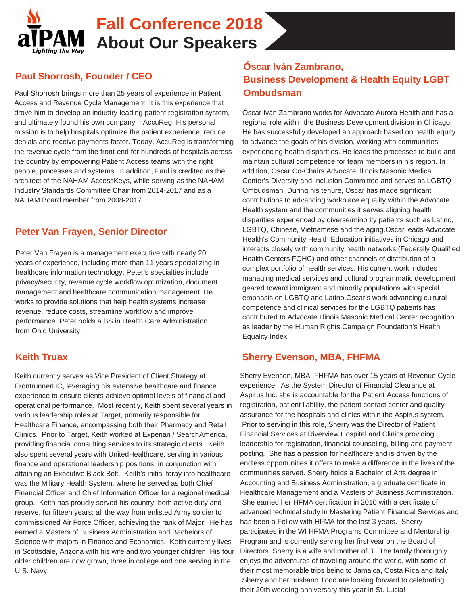

## **Fall Conference 2018 About Our Speakers**

#### **Paul Shorrosh, Founder / CEO**

Paul Shorrosh brings more than 25 years of experience in Patient Access and Revenue Cycle Management. It is this experience that drove him to develop an industry-leading patient registration system, and ultimately found his own company – AccuReg. His personal mission is to help hospitals optimize the patient experience, reduce denials and receive payments faster. Today, AccuReg is transforming the revenue cycle from the front-end for hundreds of hospitals across the country by empowering Patient Access teams with the right people, processes and systems. In addition, Paul is credited as the architect of the NAHAM AccessKeys, while serving as the NAHAM Industry Standards Committee Chair from 2014-2017 and as a NAHAM Board member from 2008-2017.

#### **Peter Van Frayen, Senior Director**

Peter Van Frayen is a management executive with nearly 20 years of experience, including more than 11 years specializing in healthcare information technology. Peter's specialties include privacy/security, revenue cycle workflow optimization, document management and healthcare communication management. He works to provide solutions that help health systems increase revenue, reduce costs, streamline workflow and improve performance. Peter holds a BS in Health Care Administration from Ohio University.

#### **Keith Truax**

Keith currently serves as Vice President of Client Strategy at FrontrunnerHC, leveraging his extensive healthcare and finance experience to ensure clients achieve optimal levels of financial and operational performance. Most recently, Keith spent several years in various leadership roles at Target, primarily responsible for Healthcare Finance, encompassing both their Pharmacy and Retail Clinics. Prior to Target, Keith worked at Experian / SearchAmerica, providing financial consulting services to its strategic clients. Keith also spent several years with UnitedHealthcare, serving in various finance and operational leadership positions, in conjunction with attaining an Executive Black Belt. Keith's initial foray into healthcare was the Military Health System, where he served as both Chief Financial Officer and Chief Information Officer for a regional medical group. Keith has proudly served his country, both active duty and reserve, for fifteen years; all the way from enlisted Army soldier to commissioned Air Force Officer, achieving the rank of Major. He has earned a Masters of Business Administration and Bachelors of Science with majors in Finance and Economics. Keith currently lives in Scottsdale, Arizona with his wife and two younger children. His four older children are now grown, three in college and one serving in the U.S. Navy.

#### **Óscar Iván Zambrano, Business Development & Health Equity LGBT Ombudsman**

Óscar Iván Zambrano works for Advocate Aurora Health and has a regional role within the Business Development division in Chicago. He has successfully developed an approach based on health equity to advance the goals of his division, working with communities experiencing health disparities. He leads the processes to build and maintain cultural competence for team members in his region. In addition, Oscar Co-Chairs Advocate Illinois Masonic Medical Center's Diversity and Inclusion Committee and serves as LGBTQ Ombudsman. During his tenure, Oscar has made significant contributions to advancing workplace equality within the Advocate Health system and the communities it serves aligning health disparities experienced by diverse/minority patients such as Latino, LGBTQ, Chinese, Vietnamese and the aging.Oscar leads Advocate Health's Community Health Education initiatives in Chicago and interacts closely with community health networks (Federally Qualified Health Centers FQHC) and other channels of distribution of a complex portfolio of health services. His current work includes managing medical services and cultural programmatic development geared toward immigrant and minority populations with special emphasis on LGBTQ and Latino.Oscar's work advancing cultural competence and clinical services for the LGBTQ patients has contributed to Advocate Illinois Masonic Medical Center recognition as leader by the Human Rights Campaign Foundation's Health Equality Index.

#### **Sherry Evenson, MBA, FHFMA**

Sherry Evenson, MBA, FHFMA has over 15 years of Revenue Cycle experience. As the System Director of Financial Clearance at Aspirus Inc. she is accountable for the Patient Access functions of registration, patient liability, the patient contact center and quality assurance for the hospitals and clinics within the Aspirus system. Prior to serving in this role, Sherry was the Director of Patient Financial Services at Riverview Hospital and Clinics providing leadership for registration, financial counseling, billing and payment posting. She has a passion for healthcare and is driven by the endless opportunities it offers to make a difference in the lives of the communities served. Sherry holds a Bachelor of Arts degree in Accounting and Business Administration, a graduate certificate in Healthcare Management and a Masters of Business Administration. She earned her HFMA certification in 2010 with a certificate of advanced technical study in Mastering Patient Financial Services and has been a Fellow with HFMA for the last 3 years. Sherry participates in the WI HFMA Programs Committee and Mentorship Program and is currently serving her first year on the Board of Directors. Sherry is a wife and mother of 3. The family thoroughly enjoys the adventures of traveling around the world, with some of their most memorable trips being to Jamaica, Costa Rica and Italy. Sherry and her husband Todd are looking forward to celebrating their 20th wedding anniversary this year in St. Lucia!